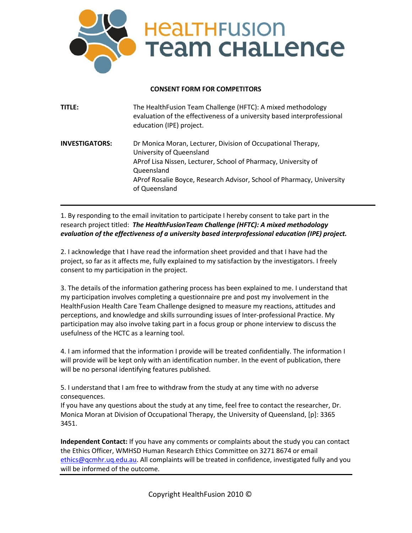

# **CONSENT FORM FOR COMPETITORS**

| TITLE:                | The HealthFusion Team Challenge (HFTC): A mixed methodology<br>evaluation of the effectiveness of a university based interprofessional<br>education (IPE) project.                                                                                                 |
|-----------------------|--------------------------------------------------------------------------------------------------------------------------------------------------------------------------------------------------------------------------------------------------------------------|
| <b>INVESTIGATORS:</b> | Dr Monica Moran, Lecturer, Division of Occupational Therapy,<br>University of Queensland<br>AProf Lisa Nissen, Lecturer, School of Pharmacy, University of<br>Queensland<br>AProf Rosalie Boyce, Research Advisor, School of Pharmacy, University<br>of Queensland |

1. By responding to the email invitation to participate I hereby consent to take part in the research project titled: *The HealthFusionTeam Challenge (HFTC): A mixed methodology evaluation of the effectiveness of a university based interprofessional education (IPE) project.*

2. I acknowledge that I have read the information sheet provided and that I have had the project, so far as it affects me, fully explained to my satisfaction by the investigators. I freely consent to my participation in the project.

3. The details of the information gathering process has been explained to me. I understand that my participation involves completing a questionnaire pre and post my involvement in the HealthFusion Health Care Team Challenge designed to measure my reactions, attitudes and perceptions, and knowledge and skills surrounding issues of Inter-professional Practice. My participation may also involve taking part in a focus group or phone interview to discuss the usefulness of the HCTC as a learning tool.

4. I am informed that the information I provide will be treated confidentially. The information I will provide will be kept only with an identification number. In the event of publication, there will be no personal identifying features published.

5. I understand that I am free to withdraw from the study at any time with no adverse consequences.

If you have any questions about the study at any time, feel free to contact the researcher, Dr. Monica Moran at Division of Occupational Therapy, the University of Queensland, [p]: 3365 3451.

**Independent Contact:** If you have any comments or complaints about the study you can contact the Ethics Officer, WMHSD Human Research Ethics Committee on 3271 8674 or email [ethics@qcmhr.uq.edu.au.](mailto:ethics@wph.uq.edu.au) All complaints will be treated in confidence, investigated fully and you will be informed of the outcome.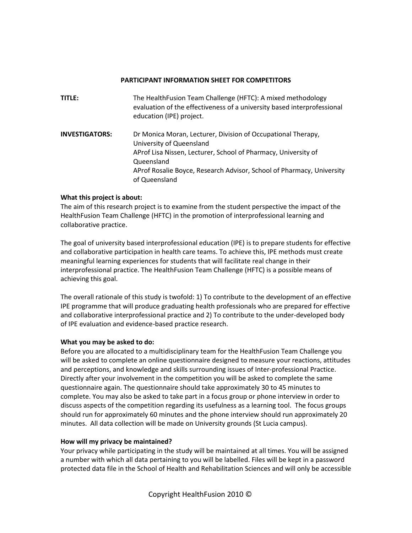### **PARTICIPANT INFORMATION SHEET FOR COMPETITORS**

| TITLE:                | The HealthFusion Team Challenge (HFTC): A mixed methodology<br>evaluation of the effectiveness of a university based interprofessional<br>education (IPE) project.                                                                                                 |
|-----------------------|--------------------------------------------------------------------------------------------------------------------------------------------------------------------------------------------------------------------------------------------------------------------|
| <b>INVESTIGATORS:</b> | Dr Monica Moran, Lecturer, Division of Occupational Therapy,<br>University of Queensland<br>AProf Lisa Nissen, Lecturer, School of Pharmacy, University of<br>Queensland<br>AProf Rosalie Boyce, Research Advisor, School of Pharmacy, University<br>of Queensland |

## **What this project is about:**

The aim of this research project is to examine from the student perspective the impact of the HealthFusion Team Challenge (HFTC) in the promotion of interprofessional learning and collaborative practice.

The goal of university based interprofessional education (IPE) is to prepare students for effective and collaborative participation in health care teams. To achieve this, IPE methods must create meaningful learning experiences for students that will facilitate real change in their interprofessional practice. The HealthFusion Team Challenge (HFTC) is a possible means of achieving this goal.

The overall rationale of this study is twofold: 1) To contribute to the development of an effective IPE programme that will produce graduating health professionals who are prepared for effective and collaborative interprofessional practice and 2) To contribute to the under-developed body of IPE evaluation and evidence-based practice research.

## **What you may be asked to do:**

Before you are allocated to a multidisciplinary team for the HealthFusion Team Challenge you will be asked to complete an online questionnaire designed to measure your reactions, attitudes and perceptions, and knowledge and skills surrounding issues of Inter-professional Practice. Directly after your involvement in the competition you will be asked to complete the same questionnaire again. The questionnaire should take approximately 30 to 45 minutes to complete. You may also be asked to take part in a focus group or phone interview in order to discuss aspects of the competition regarding its usefulness as a learning tool. The focus groups should run for approximately 60 minutes and the phone interview should run approximately 20 minutes. All data collection will be made on University grounds (St Lucia campus).

## **How will my privacy be maintained?**

Your privacy while participating in the study will be maintained at all times. You will be assigned a number with which all data pertaining to you will be labelled. Files will be kept in a password protected data file in the School of Health and Rehabilitation Sciences and will only be accessible